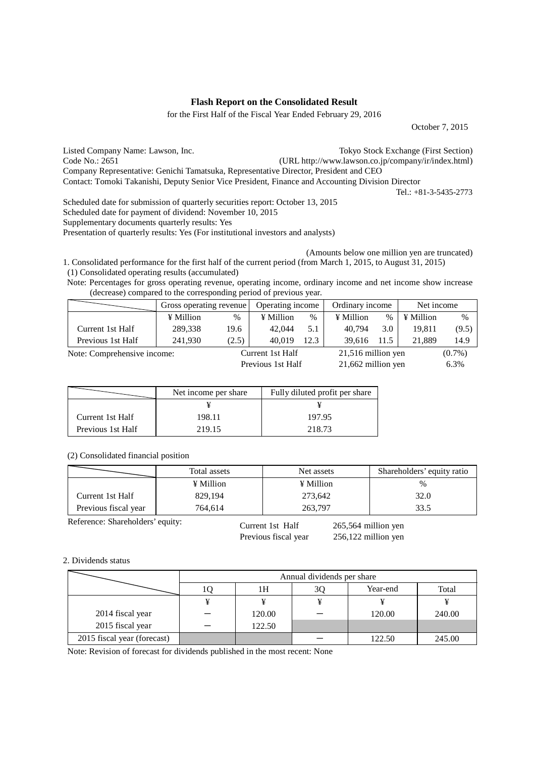## **Flash Report on the Consolidated Result**

for the First Half of the Fiscal Year Ended February 29, 2016

October 7, 2015

Listed Company Name: Lawson, Inc. Tokyo Stock Exchange (First Section) Code No.: 2651 (URL http://www.lawson.co.jp/company/ir/index.html) Company Representative: Genichi Tamatsuka, Representative Director, President and CEO Contact: Tomoki Takanishi, Deputy Senior Vice President, Finance and Accounting Division Director

Scheduled date for submission of quarterly securities report: October 13, 2015 Scheduled date for payment of dividend: November 10, 2015 Supplementary documents quarterly results: Yes Presentation of quarterly results: Yes (For institutional investors and analysts)

Tel.: +81-3-5435-2773

(Amounts below one million yen are truncated)

1. Consolidated performance for the first half of the current period (from March 1, 2015, to August 31, 2015) (1) Consolidated operating results (accumulated)

Note: Percentages for gross operating revenue, operating income, ordinary income and net income show increase (decrease) compared to the corresponding period of previous year.

|                             | Gross operating revenue |       | Operating income |      | Ordinary income    |      | Net income |           |
|-----------------------------|-------------------------|-------|------------------|------|--------------------|------|------------|-----------|
|                             | ¥ Million               | $\%$  | ¥ Million        | %    | ¥ Million          | $\%$ | ¥ Million  | $\%$      |
| Current 1st Half            | 289,338                 | 19.6  | 42,044           | 5.1  | 40.794             | 3.0  | 19.811     | (9.5)     |
| Previous 1st Half           | 241.930                 | (2.5) | 40.019           | 12.3 | 39.616             | 11.5 | 21.889     | 14.9      |
| Note: Comprehensive income: |                         |       | Current 1st Half |      | 21,516 million yen |      |            | $(0.7\%)$ |

Previous 1st Half 21,662 million yen 6.3%

|                   | Net income per share | Fully diluted profit per share |
|-------------------|----------------------|--------------------------------|
|                   |                      |                                |
| Current 1st Half  | 198.11               | 197.95                         |
| Previous 1st Half | 219.15               | 218.73                         |

(2) Consolidated financial position

|                      | Total assets | Net assets | Shareholders' equity ratio |
|----------------------|--------------|------------|----------------------------|
|                      | ¥ Million    | ¥ Million  | $\%$                       |
| Current 1st Half     | 829.194      | 273.642    | 32.0                       |
| Previous fiscal year | 764.614      | 263,797    | 33.5                       |

Reference: Shareholders' equity:

Current 1st Half 265,564 million yen Previous fiscal year 256,122 million yen

## 2. Dividends status

|                             | Annual dividends per share |        |    |          |        |  |
|-----------------------------|----------------------------|--------|----|----------|--------|--|
|                             |                            | 1Н     | 3Q | Year-end | Total  |  |
|                             |                            |        |    |          |        |  |
| 2014 fiscal year            |                            | 120.00 |    | 120.00   | 240.00 |  |
| 2015 fiscal year            |                            | 122.50 |    |          |        |  |
| 2015 fiscal year (forecast) |                            |        |    | 122.50   | 245.00 |  |

Note: Revision of forecast for dividends published in the most recent: None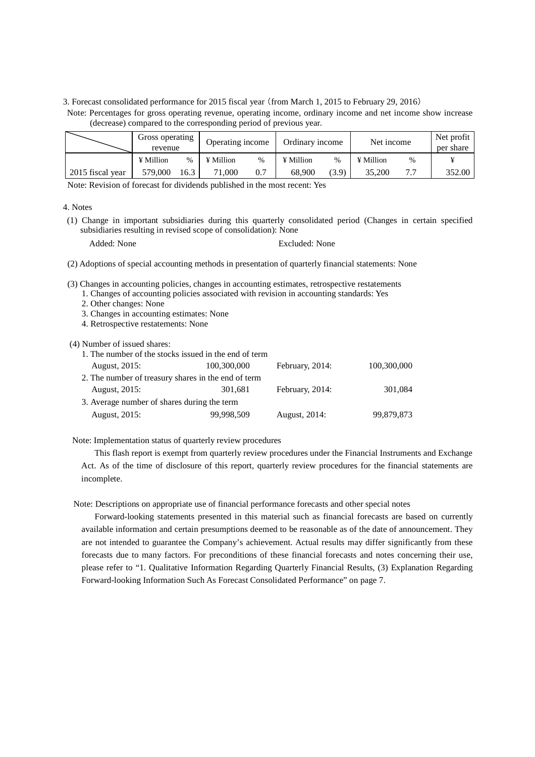3. Forecast consolidated performance for 2015 fiscal year (from March 1, 2015 to February 29, 2016)

|                  | Gross operating<br>revenue |               | Operating income |      | Ordinary income |       | Net income       |      | Net profit<br>per share |
|------------------|----------------------------|---------------|------------------|------|-----------------|-------|------------------|------|-------------------------|
|                  | ¥ Million                  | $\frac{0}{0}$ | $\angle$ Million | $\%$ | ¥ Million       | $\%$  | $\angle$ Million | $\%$ |                         |
| 2015 fiscal year | 579,000                    | 16.3          | 71,000           | 0.7  | 68.900          | (3.9) | 35,200           |      | 352.00                  |

Note: Percentages for gross operating revenue, operating income, ordinary income and net income show increase

(decrease) compared to the corresponding period of previous year.

Note: Revision of forecast for dividends published in the most recent: Yes

### 4. Notes

- (1) Change in important subsidiaries during this quarterly consolidated period (Changes in certain specified subsidiaries resulting in revised scope of consolidation): None
	-

Added: None Excluded: None

(2) Adoptions of special accounting methods in presentation of quarterly financial statements: None

(3) Changes in accounting policies, changes in accounting estimates, retrospective restatements

1. Changes of accounting policies associated with revision in accounting standards: Yes

- 2. Other changes: None
- 3. Changes in accounting estimates: None
- 4. Retrospective restatements: None

(4) Number of issued shares:

| 1. The number of the stocks issued in the end of term |             |                 |             |
|-------------------------------------------------------|-------------|-----------------|-------------|
| August, 2015:                                         | 100,300,000 | February, 2014: | 100,300,000 |
| 2. The number of treasury shares in the end of term   |             |                 |             |
| August, 2015:                                         | 301,681     | February, 2014: | 301,084     |
| 3. Average number of shares during the term           |             |                 |             |
| August, 2015:                                         | 99,998,509  | August, 2014:   | 99,879,873  |

Note: Implementation status of quarterly review procedures

This flash report is exempt from quarterly review procedures under the Financial Instruments and Exchange Act. As of the time of disclosure of this report, quarterly review procedures for the financial statements are incomplete.

Note: Descriptions on appropriate use of financial performance forecasts and other special notes

Forward-looking statements presented in this material such as financial forecasts are based on currently available information and certain presumptions deemed to be reasonable as of the date of announcement. They are not intended to guarantee the Company's achievement. Actual results may differ significantly from these forecasts due to many factors. For preconditions of these financial forecasts and notes concerning their use, please refer to "1. Qualitative Information Regarding Quarterly Financial Results, (3) Explanation Regarding Forward-looking Information Such As Forecast Consolidated Performance" on page 7.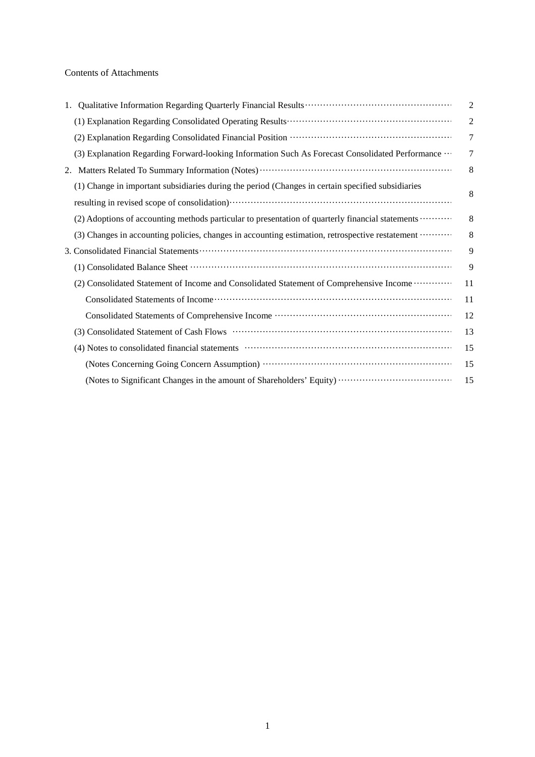## Contents of Attachments

|                                                                                                   | $\overline{2}$ |
|---------------------------------------------------------------------------------------------------|----------------|
|                                                                                                   | $\overline{2}$ |
|                                                                                                   | 7              |
| (3) Explanation Regarding Forward-looking Information Such As Forecast Consolidated Performance   | 7              |
|                                                                                                   | 8              |
| (1) Change in important subsidiaries during the period (Changes in certain specified subsidiaries | 8              |
|                                                                                                   |                |
| (2) Adoptions of accounting methods particular to presentation of quarterly financial statements  | 8              |
| (3) Changes in accounting policies, changes in accounting estimation, retrospective restatement   | 8              |
|                                                                                                   | 9              |
|                                                                                                   | 9              |
| (2) Consolidated Statement of Income and Consolidated Statement of Comprehensive Income           | 11             |
|                                                                                                   | 11             |
|                                                                                                   | 12             |
|                                                                                                   | 13             |
|                                                                                                   | 15             |
|                                                                                                   | 15             |
|                                                                                                   | 15             |
|                                                                                                   |                |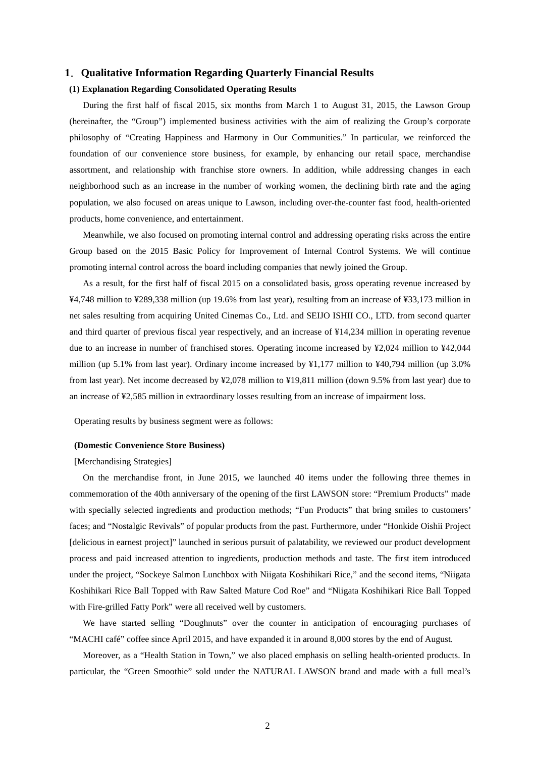## **1**.**Qualitative Information Regarding Quarterly Financial Results**

### **(1) Explanation Regarding Consolidated Operating Results**

During the first half of fiscal 2015, six months from March 1 to August 31, 2015, the Lawson Group (hereinafter, the "Group") implemented business activities with the aim of realizing the Group's corporate philosophy of "Creating Happiness and Harmony in Our Communities." In particular, we reinforced the foundation of our convenience store business, for example, by enhancing our retail space, merchandise assortment, and relationship with franchise store owners. In addition, while addressing changes in each neighborhood such as an increase in the number of working women, the declining birth rate and the aging population, we also focused on areas unique to Lawson, including over-the-counter fast food, health-oriented products, home convenience, and entertainment.

Meanwhile, we also focused on promoting internal control and addressing operating risks across the entire Group based on the 2015 Basic Policy for Improvement of Internal Control Systems. We will continue promoting internal control across the board including companies that newly joined the Group.

As a result, for the first half of fiscal 2015 on a consolidated basis, gross operating revenue increased by ¥4,748 million to ¥289,338 million (up 19.6% from last year), resulting from an increase of ¥33,173 million in net sales resulting from acquiring United Cinemas Co., Ltd. and SEIJO ISHII CO., LTD. from second quarter and third quarter of previous fiscal year respectively, and an increase of ¥14,234 million in operating revenue due to an increase in number of franchised stores. Operating income increased by ¥2,024 million to ¥42,044 million (up 5.1% from last year). Ordinary income increased by ¥1,177 million to ¥40,794 million (up 3.0% from last year). Net income decreased by ¥2,078 million to ¥19,811 million (down 9.5% from last year) due to an increase of ¥2,585 million in extraordinary losses resulting from an increase of impairment loss.

Operating results by business segment were as follows:

#### **(Domestic Convenience Store Business)**

### [Merchandising Strategies]

On the merchandise front, in June 2015, we launched 40 items under the following three themes in commemoration of the 40th anniversary of the opening of the first LAWSON store: "Premium Products" made with specially selected ingredients and production methods; "Fun Products" that bring smiles to customers' faces; and "Nostalgic Revivals" of popular products from the past. Furthermore, under "Honkide Oishii Project [delicious in earnest project]" launched in serious pursuit of palatability, we reviewed our product development process and paid increased attention to ingredients, production methods and taste. The first item introduced under the project, "Sockeye Salmon Lunchbox with Niigata Koshihikari Rice," and the second items, "Niigata Koshihikari Rice Ball Topped with Raw Salted Mature Cod Roe" and "Niigata Koshihikari Rice Ball Topped with Fire-grilled Fatty Pork" were all received well by customers.

We have started selling "Doughnuts" over the counter in anticipation of encouraging purchases of "MACHI café" coffee since April 2015, and have expanded it in around 8,000 stores by the end of August.

Moreover, as a "Health Station in Town," we also placed emphasis on selling health-oriented products. In particular, the "Green Smoothie" sold under the NATURAL LAWSON brand and made with a full meal's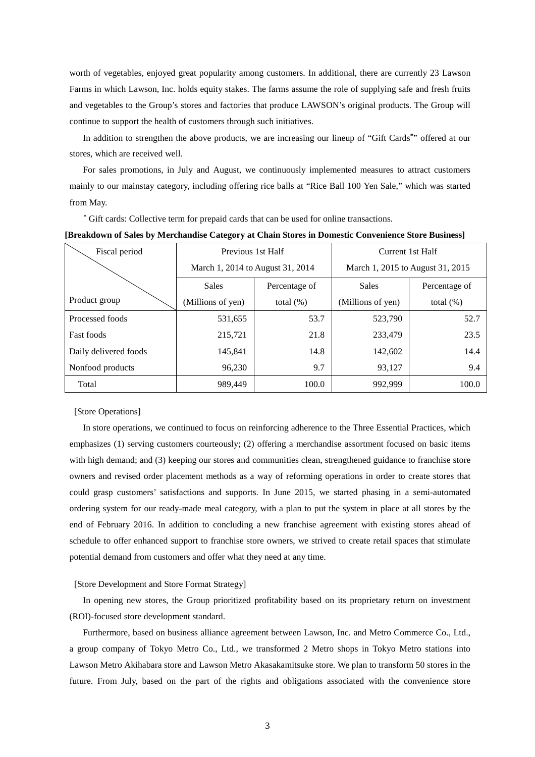worth of vegetables, enjoyed great popularity among customers. In additional, there are currently 23 Lawson Farms in which Lawson, Inc. holds equity stakes. The farms assume the role of supplying safe and fresh fruits and vegetables to the Group's stores and factories that produce LAWSON's original products. The Group will continue to support the health of customers through such initiatives.

In addition to strengthen the above products, we are increasing our lineup of "Gift Cards**\*** " offered at our stores, which are received well.

For sales promotions, in July and August, we continuously implemented measures to attract customers mainly to our mainstay category, including offering rice balls at "Rice Ball 100 Yen Sale," which was started from May.

**\*** Gift cards: Collective term for prepaid cards that can be used for online transactions.

| Fiscal period         | Previous 1st Half                 |               | Current 1st Half                 |               |  |
|-----------------------|-----------------------------------|---------------|----------------------------------|---------------|--|
|                       | March 1, 2014 to August 31, 2014  |               | March 1, 2015 to August 31, 2015 |               |  |
|                       | <b>Sales</b>                      | Percentage of | Sales                            | Percentage of |  |
| Product group         | (Millions of yen)<br>total $(\%)$ |               | (Millions of yen)                | total $(\%)$  |  |
| Processed foods       | 531,655                           | 53.7          | 523,790                          | 52.7          |  |
| <b>Fast foods</b>     | 215,721                           | 21.8          | 233,479                          | 23.5          |  |
| Daily delivered foods | 145.841                           | 14.8          | 142,602                          | 14.4          |  |
| Nonfood products      | 96,230                            | 9.7           | 93,127                           | 9.4           |  |
| Total                 | 989,449                           | 100.0         | 992.999                          | 100.0         |  |

**[Breakdown of Sales by Merchandise Category at Chain Stores in Domestic Convenience Store Business]** 

### [Store Operations]

In store operations, we continued to focus on reinforcing adherence to the Three Essential Practices, which emphasizes (1) serving customers courteously; (2) offering a merchandise assortment focused on basic items with high demand; and (3) keeping our stores and communities clean, strengthened guidance to franchise store owners and revised order placement methods as a way of reforming operations in order to create stores that could grasp customers' satisfactions and supports. In June 2015, we started phasing in a semi-automated ordering system for our ready-made meal category, with a plan to put the system in place at all stores by the end of February 2016. In addition to concluding a new franchise agreement with existing stores ahead of schedule to offer enhanced support to franchise store owners, we strived to create retail spaces that stimulate potential demand from customers and offer what they need at any time.

#### [Store Development and Store Format Strategy]

In opening new stores, the Group prioritized profitability based on its proprietary return on investment (ROI)-focused store development standard.

Furthermore, based on business alliance agreement between Lawson, Inc. and Metro Commerce Co., Ltd., a group company of Tokyo Metro Co., Ltd., we transformed 2 Metro shops in Tokyo Metro stations into Lawson Metro Akihabara store and Lawson Metro Akasakamitsuke store. We plan to transform 50 stores in the future. From July, based on the part of the rights and obligations associated with the convenience store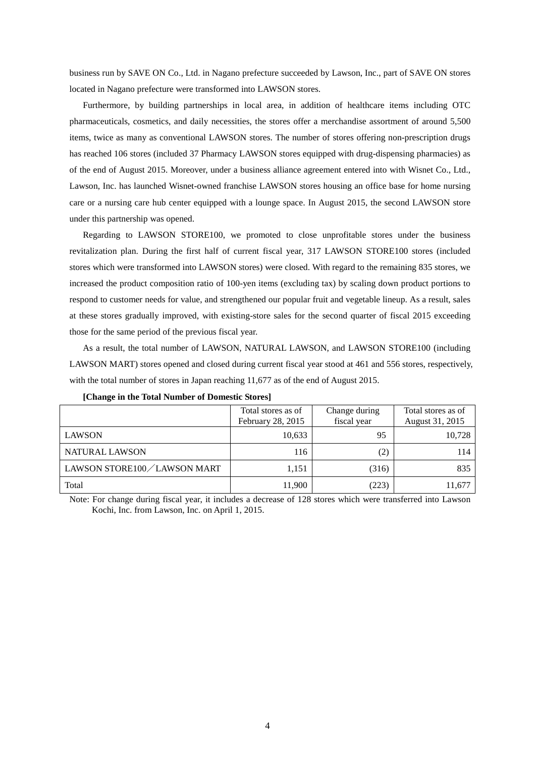business run by SAVE ON Co., Ltd. in Nagano prefecture succeeded by Lawson, Inc., part of SAVE ON stores located in Nagano prefecture were transformed into LAWSON stores.

Furthermore, by building partnerships in local area, in addition of healthcare items including OTC pharmaceuticals, cosmetics, and daily necessities, the stores offer a merchandise assortment of around 5,500 items, twice as many as conventional LAWSON stores. The number of stores offering non-prescription drugs has reached 106 stores (included 37 Pharmacy LAWSON stores equipped with drug-dispensing pharmacies) as of the end of August 2015. Moreover, under a business alliance agreement entered into with Wisnet Co., Ltd., Lawson, Inc. has launched Wisnet-owned franchise LAWSON stores housing an office base for home nursing care or a nursing care hub center equipped with a lounge space. In August 2015, the second LAWSON store under this partnership was opened.

Regarding to LAWSON STORE100, we promoted to close unprofitable stores under the business revitalization plan. During the first half of current fiscal year, 317 LAWSON STORE100 stores (included stores which were transformed into LAWSON stores) were closed. With regard to the remaining 835 stores, we increased the product composition ratio of 100-yen items (excluding tax) by scaling down product portions to respond to customer needs for value, and strengthened our popular fruit and vegetable lineup. As a result, sales at these stores gradually improved, with existing-store sales for the second quarter of fiscal 2015 exceeding those for the same period of the previous fiscal year.

As a result, the total number of LAWSON, NATURAL LAWSON, and LAWSON STORE100 (including LAWSON MART) stores opened and closed during current fiscal year stood at 461 and 556 stores, respectively, with the total number of stores in Japan reaching 11,677 as of the end of August 2015.

|                               | Total stores as of | Change during | Total stores as of |
|-------------------------------|--------------------|---------------|--------------------|
|                               | February 28, 2015  | fiscal year   | August 31, 2015    |
| <b>LAWSON</b>                 | 10,633             | 95            | 10,728             |
| <b>NATURAL LAWSON</b>         | 116                | (2)           | 114                |
| LAWSON STORE100 / LAWSON MART | 1.151              | (316)         | 835                |
| Total                         | 11,900             | (223)         | 11.677             |

Note: For change during fiscal year, it includes a decrease of 128 stores which were transferred into Lawson Kochi, Inc. from Lawson, Inc. on April 1, 2015.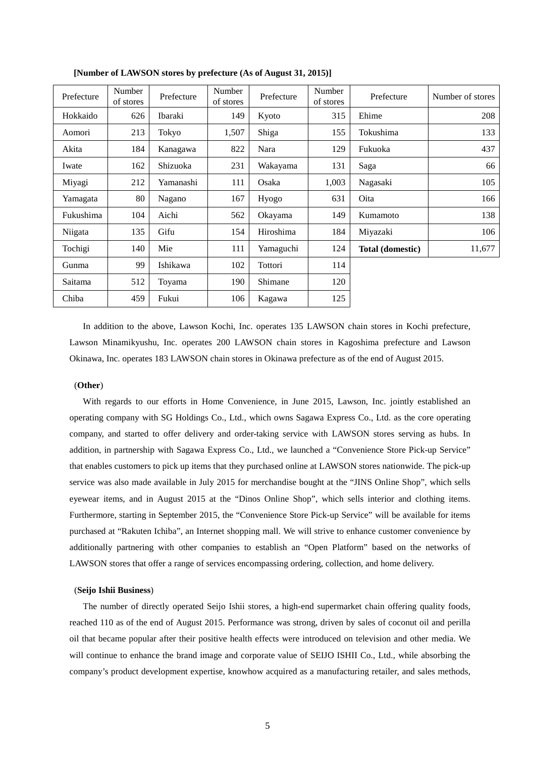| Prefecture | Number<br>of stores | Prefecture | Number<br>of stores | Prefecture | Number<br>of stores | Prefecture              | Number of stores |
|------------|---------------------|------------|---------------------|------------|---------------------|-------------------------|------------------|
| Hokkaido   | 626                 | Ibaraki    | 149                 | Kyoto      | 315                 | Ehime                   | 208              |
| Aomori     | 213                 | Tokyo      | 1,507               | Shiga      | 155                 | Tokushima               | 133              |
| Akita      | 184                 | Kanagawa   | 822                 | Nara       | 129                 | Fukuoka                 | 437              |
| Iwate      | 162                 | Shizuoka   | 231                 | Wakayama   | 131                 | Saga                    | 66               |
| Miyagi     | 212                 | Yamanashi  | 111                 | Osaka      | 1,003               | Nagasaki                | 105              |
| Yamagata   | 80                  | Nagano     | 167                 | Hyogo      | 631                 | Oita                    | 166              |
| Fukushima  | 104                 | Aichi      | 562                 | Okayama    | 149                 | Kumamoto                | 138              |
| Niigata    | 135                 | Gifu       | 154                 | Hiroshima  | 184                 | Miyazaki                | 106              |
| Tochigi    | 140                 | Mie        | 111                 | Yamaguchi  | 124                 | <b>Total (domestic)</b> | 11,677           |
| Gunma      | 99                  | Ishikawa   | 102                 | Tottori    | 114                 |                         |                  |
| Saitama    | 512                 | Toyama     | 190                 | Shimane    | 120                 |                         |                  |
| Chiba      | 459                 | Fukui      | 106                 | Kagawa     | 125                 |                         |                  |

**[Number of LAWSON stores by prefecture (As of August 31, 2015)]** 

In addition to the above, Lawson Kochi, Inc. operates 135 LAWSON chain stores in Kochi prefecture, Lawson Minamikyushu, Inc. operates 200 LAWSON chain stores in Kagoshima prefecture and Lawson Okinawa, Inc. operates 183 LAWSON chain stores in Okinawa prefecture as of the end of August 2015.

#### (**Other**)

With regards to our efforts in Home Convenience, in June 2015, Lawson, Inc. jointly established an operating company with SG Holdings Co., Ltd., which owns Sagawa Express Co., Ltd. as the core operating company, and started to offer delivery and order-taking service with LAWSON stores serving as hubs. In addition, in partnership with Sagawa Express Co., Ltd., we launched a "Convenience Store Pick-up Service" that enables customers to pick up items that they purchased online at LAWSON stores nationwide. The pick-up service was also made available in July 2015 for merchandise bought at the "JINS Online Shop", which sells eyewear items, and in August 2015 at the "Dinos Online Shop", which sells interior and clothing items. Furthermore, starting in September 2015, the "Convenience Store Pick-up Service" will be available for items purchased at "Rakuten Ichiba", an Internet shopping mall. We will strive to enhance customer convenience by additionally partnering with other companies to establish an "Open Platform" based on the networks of LAWSON stores that offer a range of services encompassing ordering, collection, and home delivery.

#### (**Seijo Ishii Business**)

The number of directly operated Seijo Ishii stores, a high-end supermarket chain offering quality foods, reached 110 as of the end of August 2015. Performance was strong, driven by sales of coconut oil and perilla oil that became popular after their positive health effects were introduced on television and other media. We will continue to enhance the brand image and corporate value of SEIJO ISHII Co., Ltd., while absorbing the company's product development expertise, knowhow acquired as a manufacturing retailer, and sales methods,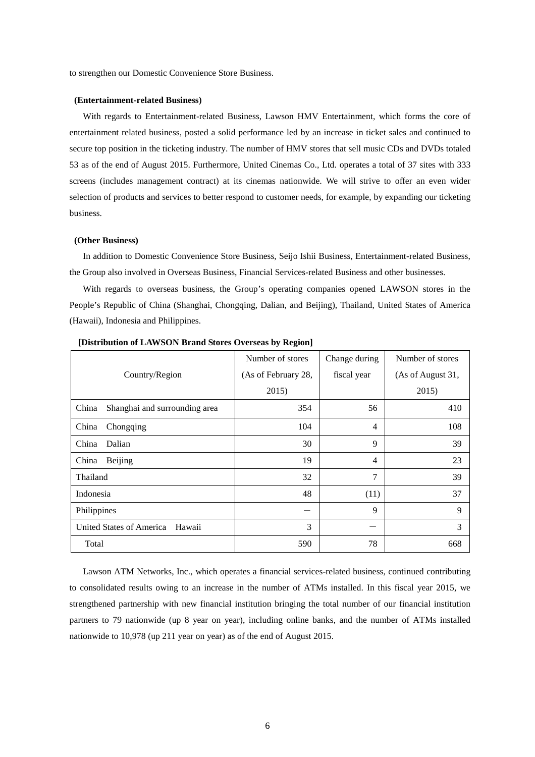to strengthen our Domestic Convenience Store Business.

#### **(Entertainment-related Business)**

With regards to Entertainment-related Business, Lawson HMV Entertainment, which forms the core of entertainment related business, posted a solid performance led by an increase in ticket sales and continued to secure top position in the ticketing industry. The number of HMV stores that sell music CDs and DVDs totaled 53 as of the end of August 2015. Furthermore, United Cinemas Co., Ltd. operates a total of 37 sites with 333 screens (includes management contract) at its cinemas nationwide. We will strive to offer an even wider selection of products and services to better respond to customer needs, for example, by expanding our ticketing business.

## **(Other Business)**

In addition to Domestic Convenience Store Business, Seijo Ishii Business, Entertainment-related Business, the Group also involved in Overseas Business, Financial Services-related Business and other businesses.

With regards to overseas business, the Group's operating companies opened LAWSON stores in the People's Republic of China (Shanghai, Chongqing, Dalian, and Beijing), Thailand, United States of America (Hawaii), Indonesia and Philippines.

|                                        | Number of stores    | Change during  | Number of stores  |
|----------------------------------------|---------------------|----------------|-------------------|
| Country/Region                         | (As of February 28, | fiscal year    | (As of August 31, |
|                                        | 2015)               |                | 2015)             |
| China<br>Shanghai and surrounding area | 354                 | 56             | 410               |
| China<br>Chongqing                     | 104                 | 4              | 108               |
| Dalian<br>China                        | 30                  | 9              | 39                |
| <b>Beijing</b><br>China                | 19                  | $\overline{4}$ | 23                |
| Thailand                               | 32                  | 7              | 39                |
| Indonesia                              | 48                  | (11)           | 37                |
| Philippines                            |                     | 9              | 9                 |
| United States of America<br>Hawaii     | 3                   |                | 3                 |
| Total                                  | 590                 | 78             | 668               |

 **[Distribution of LAWSON Brand Stores Overseas by Region]** 

Lawson ATM Networks, Inc., which operates a financial services-related business, continued contributing to consolidated results owing to an increase in the number of ATMs installed. In this fiscal year 2015, we strengthened partnership with new financial institution bringing the total number of our financial institution partners to 79 nationwide (up 8 year on year), including online banks, and the number of ATMs installed nationwide to 10,978 (up 211 year on year) as of the end of August 2015.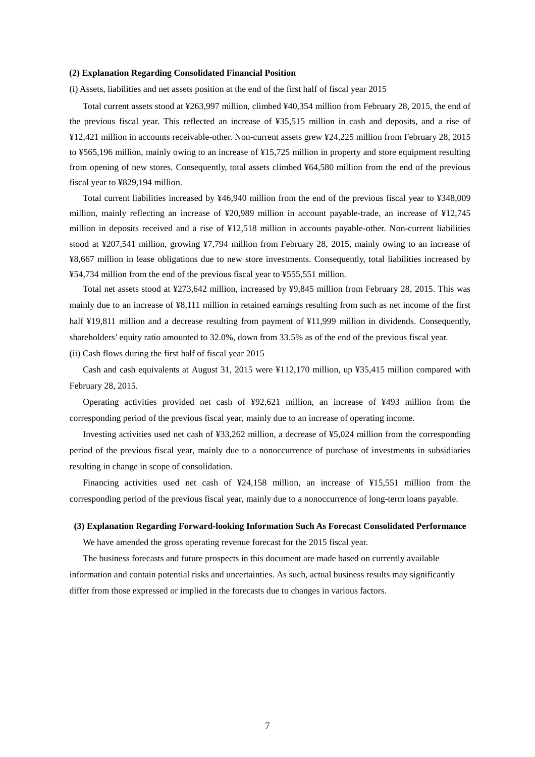### **(2) Explanation Regarding Consolidated Financial Position**

(i) Assets, liabilities and net assets position at the end of the first half of fiscal year 2015

Total current assets stood at ¥263,997 million, climbed ¥40,354 million from February 28, 2015, the end of the previous fiscal year. This reflected an increase of ¥35,515 million in cash and deposits, and a rise of ¥12,421 million in accounts receivable-other. Non-current assets grew ¥24,225 million from February 28, 2015 to ¥565,196 million, mainly owing to an increase of ¥15,725 million in property and store equipment resulting from opening of new stores. Consequently, total assets climbed ¥64,580 million from the end of the previous fiscal year to ¥829,194 million.

Total current liabilities increased by ¥46,940 million from the end of the previous fiscal year to ¥348,009 million, mainly reflecting an increase of ¥20,989 million in account payable-trade, an increase of ¥12,745 million in deposits received and a rise of ¥12,518 million in accounts payable-other. Non-current liabilities stood at ¥207,541 million, growing ¥7,794 million from February 28, 2015, mainly owing to an increase of ¥8,667 million in lease obligations due to new store investments. Consequently, total liabilities increased by ¥54,734 million from the end of the previous fiscal year to ¥555,551 million.

Total net assets stood at ¥273,642 million, increased by ¥9,845 million from February 28, 2015. This was mainly due to an increase of ¥8,111 million in retained earnings resulting from such as net income of the first half ¥19,811 million and a decrease resulting from payment of ¥11,999 million in dividends. Consequently, shareholders' equity ratio amounted to 32.0%, down from 33.5% as of the end of the previous fiscal year.

(ii) Cash flows during the first half of fiscal year 2015

Cash and cash equivalents at August 31, 2015 were ¥112,170 million, up ¥35,415 million compared with February 28, 2015.

Operating activities provided net cash of ¥92,621 million, an increase of ¥493 million from the corresponding period of the previous fiscal year, mainly due to an increase of operating income.

Investing activities used net cash of ¥33,262 million, a decrease of ¥5,024 million from the corresponding period of the previous fiscal year, mainly due to a nonoccurrence of purchase of investments in subsidiaries resulting in change in scope of consolidation.

Financing activities used net cash of ¥24,158 million, an increase of ¥15,551 million from the corresponding period of the previous fiscal year, mainly due to a nonoccurrence of long-term loans payable.

### **(3) Explanation Regarding Forward-looking Information Such As Forecast Consolidated Performance**

We have amended the gross operating revenue forecast for the 2015 fiscal year.

The business forecasts and future prospects in this document are made based on currently available information and contain potential risks and uncertainties. As such, actual business results may significantly differ from those expressed or implied in the forecasts due to changes in various factors.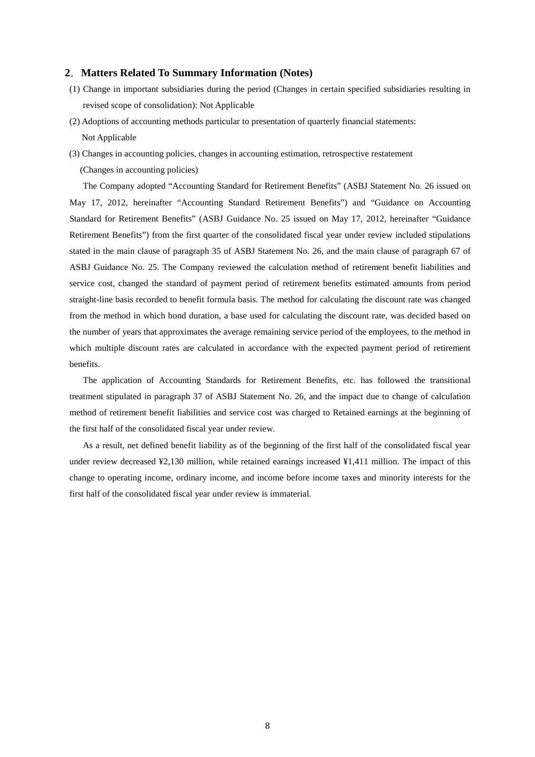## **2**.**Matters Related To Summary Information (Notes)**

- (1) Change in important subsidiaries during the period (Changes in certain specified subsidiaries resulting in revised scope of consolidation): Not Applicable
- (2) Adoptions of accounting methods particular to presentation of quarterly financial statements: Not Applicable
- (3) Changes in accounting policies, changes in accounting estimation, retrospective restatement (Changes in accounting policies)

The Company adopted "Accounting Standard for Retirement Benefits" (ASBJ Statement No. 26 issued on May 17, 2012, hereinafter "Accounting Standard Retirement Benefits") and "Guidance on Accounting Standard for Retirement Benefits" (ASBJ Guidance No. 25 issued on May 17, 2012, hereinafter "Guidance Retirement Benefits") from the first quarter of the consolidated fiscal year under review included stipulations stated in the main clause of paragraph 35 of ASBJ Statement No. 26, and the main clause of paragraph 67 of ASBJ Guidance No. 25. The Company reviewed the calculation method of retirement benefit liabilities and service cost, changed the standard of payment period of retirement benefits estimated amounts from period straight-line basis recorded to benefit formula basis. The method for calculating the discount rate was changed from the method in which bond duration, a base used for calculating the discount rate, was decided based on the number of years that approximates the average remaining service period of the employees, to the method in which multiple discount rates are calculated in accordance with the expected payment period of retirement benefits.

The application of Accounting Standards for Retirement Benefits, etc. has followed the transitional treatment stipulated in paragraph 37 of ASBJ Statement No. 26, and the impact due to change of calculation method of retirement benefit liabilities and service cost was charged to Retained earnings at the beginning of the first half of the consolidated fiscal year under review.

As a result, net defined benefit liability as of the beginning of the first half of the consolidated fiscal year under review decreased ¥2,130 million, while retained earnings increased ¥1,411 million. The impact of this change to operating income, ordinary income, and income before income taxes and minority interests for the first half of the consolidated fiscal year under review is immaterial.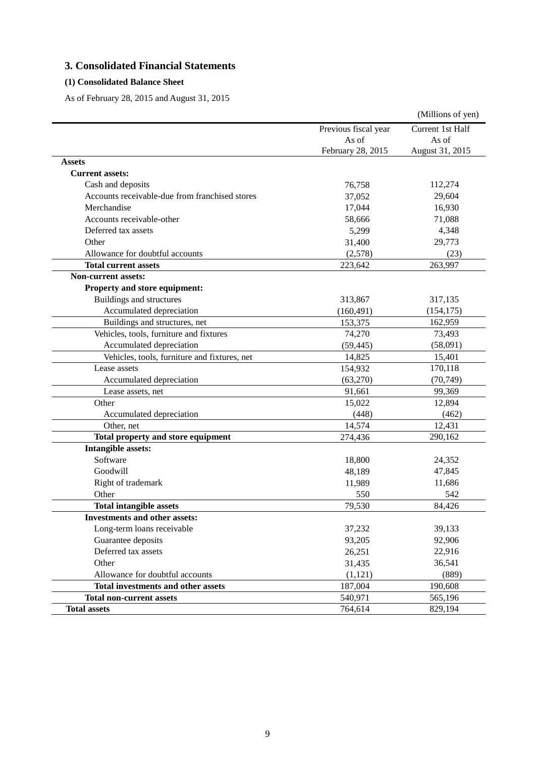# **3. Consolidated Financial Statements**

## **(1) Consolidated Balance Sheet**

As of February 28, 2015 and August 31, 2015

|                                                |                      | (Millions of yen) |
|------------------------------------------------|----------------------|-------------------|
|                                                | Previous fiscal year | Current 1st Half  |
|                                                | As of                | As of             |
|                                                | February 28, 2015    | August 31, 2015   |
| Assets                                         |                      |                   |
| <b>Current assets:</b>                         |                      |                   |
| Cash and deposits                              | 76,758               | 112,274           |
| Accounts receivable-due from franchised stores | 37,052               | 29,604            |
| Merchandise                                    | 17,044               | 16,930            |
| Accounts receivable-other                      | 58,666               | 71,088            |
| Deferred tax assets                            | 5,299                | 4,348             |
| Other                                          | 31,400               | 29,773            |
| Allowance for doubtful accounts                | (2,578)              | (23)              |
| <b>Total current assets</b>                    | 223,642              | 263,997           |
| <b>Non-current assets:</b>                     |                      |                   |
| Property and store equipment:                  |                      |                   |
| <b>Buildings and structures</b>                | 313,867              | 317,135           |
| Accumulated depreciation                       | (160, 491)           | (154, 175)        |
| Buildings and structures, net                  | 153,375              | 162,959           |
| Vehicles, tools, furniture and fixtures        | 74,270               | 73,493            |
| Accumulated depreciation                       | (59, 445)            | (58,091)          |
| Vehicles, tools, furniture and fixtures, net   | 14,825               | 15,401            |
| Lease assets                                   | 154,932              | 170,118           |
| Accumulated depreciation                       | (63,270)             | (70, 749)         |
| Lease assets, net                              | 91,661               | 99,369            |
| Other                                          | 15,022               | 12,894            |
| Accumulated depreciation                       | (448)                | (462)             |
| Other, net                                     | 14,574               | 12,431            |
| Total property and store equipment             | 274,436              | 290,162           |
| <b>Intangible assets:</b>                      |                      |                   |
| Software                                       | 18,800               | 24,352            |
| Goodwill                                       | 48,189               | 47,845            |
| Right of trademark                             | 11,989               | 11,686            |
| Other                                          | 550                  | 542               |
| <b>Total intangible assets</b>                 | 79,530               | 84,426            |
| <b>Investments and other assets:</b>           |                      |                   |
| Long-term loans receivable                     | 37,232               | 39,133            |
| Guarantee deposits                             | 93,205               | 92,906            |
| Deferred tax assets                            | 26,251               | 22,916            |
| Other                                          | 31,435               | 36,541            |
| Allowance for doubtful accounts                | (1,121)              | (889)             |
| Total investments and other assets             | 187,004              | 190,608           |
| <b>Total non-current assets</b>                | 540,971              | 565,196           |
| <b>Total assets</b>                            | 764,614              | 829,194           |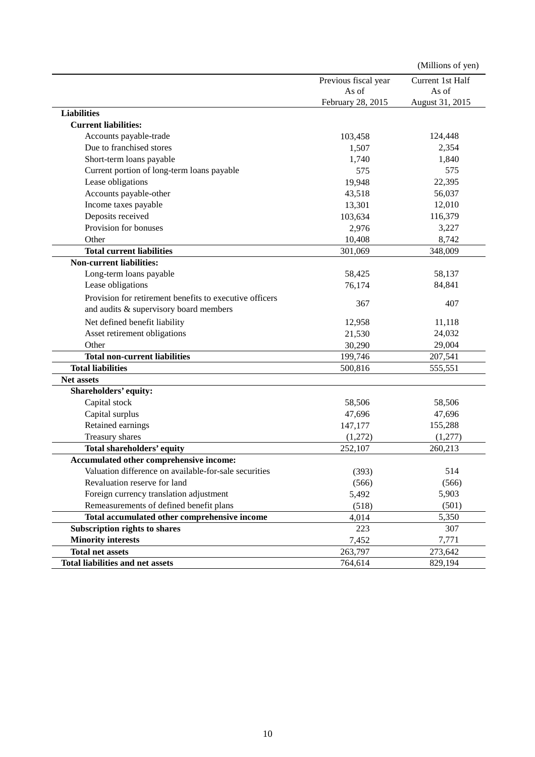|                                                         |                      | (Millions of yen) |
|---------------------------------------------------------|----------------------|-------------------|
|                                                         | Previous fiscal year | Current 1st Half  |
|                                                         | As of                | As of             |
|                                                         | February 28, 2015    | August 31, 2015   |
| <b>Liabilities</b>                                      |                      |                   |
| <b>Current liabilities:</b>                             |                      |                   |
| Accounts payable-trade                                  | 103,458              | 124,448           |
| Due to franchised stores                                | 1,507                | 2,354             |
| Short-term loans payable                                | 1,740                | 1,840             |
| Current portion of long-term loans payable              | 575                  | 575               |
| Lease obligations                                       | 19,948               | 22,395            |
| Accounts payable-other                                  | 43,518               | 56,037            |
| Income taxes payable                                    | 13,301               | 12,010            |
| Deposits received                                       | 103,634              | 116,379           |
| Provision for bonuses                                   | 2,976                | 3,227             |
| Other                                                   | 10,408               | 8,742             |
| <b>Total current liabilities</b>                        | 301,069              | 348,009           |
| <b>Non-current liabilities:</b>                         |                      |                   |
| Long-term loans payable                                 | 58,425               | 58,137            |
| Lease obligations                                       | 76,174               | 84,841            |
| Provision for retirement benefits to executive officers |                      |                   |
| and audits & supervisory board members                  | 367                  | 407               |
| Net defined benefit liability                           | 12,958               | 11,118            |
| Asset retirement obligations                            | 21,530               | 24,032            |
| Other                                                   | 30,290               | 29,004            |
| <b>Total non-current liabilities</b>                    | 199,746              | 207,541           |
| <b>Total liabilities</b>                                | 500,816              | 555,551           |
| <b>Net assets</b>                                       |                      |                   |
| Shareholders' equity:                                   |                      |                   |
| Capital stock                                           | 58,506               | 58,506            |
| Capital surplus                                         | 47,696               | 47,696            |
| Retained earnings                                       | 147,177              | 155,288           |
| Treasury shares                                         | (1,272)              | (1,277)           |
| Total shareholders' equity                              | 252,107              | 260,213           |
| Accumulated other comprehensive income:                 |                      |                   |
| Valuation difference on available-for-sale securities   | (393)                | 514               |
| Revaluation reserve for land                            | (566)                | (566)             |
| Foreign currency translation adjustment                 | 5,492                | 5,903             |
| Remeasurements of defined benefit plans                 | (518)                | (501)             |
| Total accumulated other comprehensive income            | 4,014                | 5,350             |
| Subscription rights to shares                           | 223                  | 307               |
| <b>Minority interests</b>                               | 7,452                | 7,771             |
| <b>Total net assets</b>                                 | 263,797              | 273,642           |
| <b>Total liabilities and net assets</b>                 | 764,614              | 829,194           |
|                                                         |                      |                   |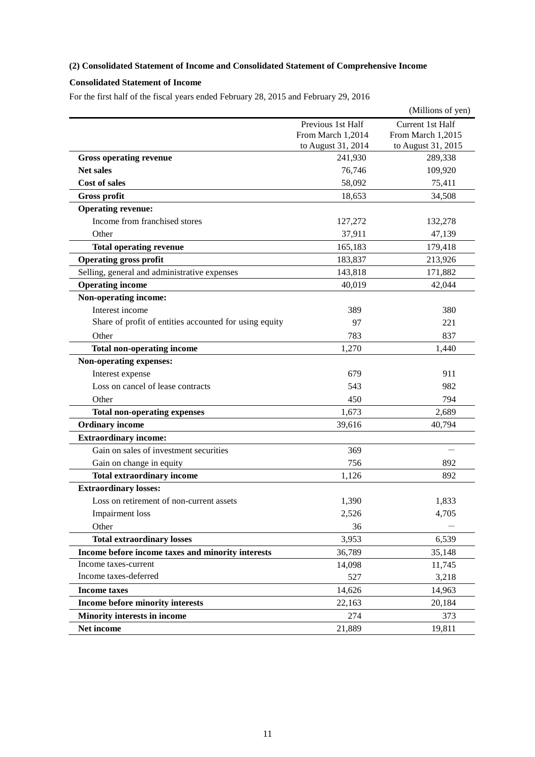## **(2) Consolidated Statement of Income and Consolidated Statement of Comprehensive Income**

## **Consolidated Statement of Income**

For the first half of the fiscal years ended February 28, 2015 and February 29, 2016

|                                                        |                    | (Millions of yen)  |
|--------------------------------------------------------|--------------------|--------------------|
|                                                        | Previous 1st Half  | Current 1st Half   |
|                                                        | From March 1,2014  | From March 1,2015  |
|                                                        | to August 31, 2014 | to August 31, 2015 |
| <b>Gross operating revenue</b>                         | 241,930            | 289,338            |
| <b>Net sales</b>                                       | 76,746             | 109,920            |
| <b>Cost of sales</b>                                   | 58,092             | 75,411             |
| <b>Gross profit</b>                                    | 18,653             | 34,508             |
| <b>Operating revenue:</b>                              |                    |                    |
| Income from franchised stores                          | 127,272            | 132,278            |
| Other                                                  | 37,911             | 47,139             |
| <b>Total operating revenue</b>                         | 165,183            | 179,418            |
| <b>Operating gross profit</b>                          | 183,837            | 213,926            |
| Selling, general and administrative expenses           | 143,818            | 171,882            |
| <b>Operating income</b>                                | 40,019             | 42,044             |
| Non-operating income:                                  |                    |                    |
| Interest income                                        | 389                | 380                |
| Share of profit of entities accounted for using equity | 97                 | 221                |
| Other                                                  | 783                | 837                |
| <b>Total non-operating income</b>                      | 1,270              | 1,440              |
| Non-operating expenses:                                |                    |                    |
| Interest expense                                       | 679                | 911                |
| Loss on cancel of lease contracts                      | 543                | 982                |
| Other                                                  | 450                | 794                |
| <b>Total non-operating expenses</b>                    | 1,673              | 2,689              |
| <b>Ordinary income</b>                                 | 39,616             | 40,794             |
| <b>Extraordinary income:</b>                           |                    |                    |
| Gain on sales of investment securities                 | 369                |                    |
| Gain on change in equity                               | 756                | 892                |
| <b>Total extraordinary income</b>                      | 1,126              | 892                |
| <b>Extraordinary losses:</b>                           |                    |                    |
| Loss on retirement of non-current assets               | 1,390              | 1,833              |
| <b>Impairment</b> loss                                 | 2,526              | 4,705              |
| Other                                                  | 36                 |                    |
| <b>Total extraordinary losses</b>                      | 3,953              | 6,539              |
| Income before income taxes and minority interests      | 36,789             | 35,148             |
| Income taxes-current                                   | 14,098             | 11,745             |
| Income taxes-deferred                                  | 527                | 3,218              |
| <b>Income taxes</b>                                    | 14,626             | 14,963             |
| Income before minority interests                       | 22,163             | 20,184             |
| <b>Minority interests in income</b>                    | 274                | 373                |
| Net income                                             | 21,889             | 19,811             |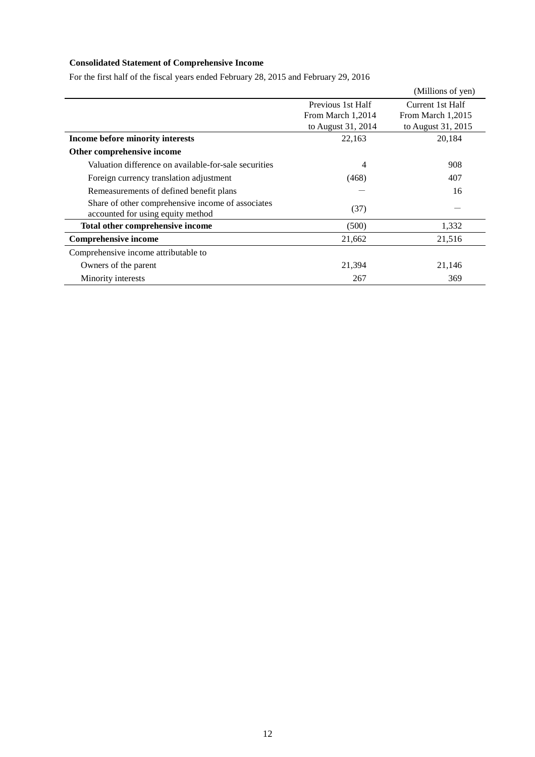## **Consolidated Statement of Comprehensive Income**

For the first half of the fiscal years ended February 28, 2015 and February 29, 2016

|                                                                                        |                    | (Millions of yen)  |
|----------------------------------------------------------------------------------------|--------------------|--------------------|
|                                                                                        | Previous 1st Half  | Current 1st Half   |
|                                                                                        | From March 1,2014  | From March 1,2015  |
|                                                                                        | to August 31, 2014 | to August 31, 2015 |
| Income before minority interests                                                       | 22,163             | 20,184             |
| Other comprehensive income                                                             |                    |                    |
| Valuation difference on available-for-sale securities                                  | 4                  | 908                |
| Foreign currency translation adjustment                                                | (468)              | 407                |
| Remeasurements of defined benefit plans                                                |                    | 16                 |
| Share of other comprehensive income of associates<br>accounted for using equity method | (37)               |                    |
| Total other comprehensive income                                                       | (500)              | 1,332              |
| <b>Comprehensive income</b>                                                            | 21,662             | 21,516             |
| Comprehensive income attributable to                                                   |                    |                    |
| Owners of the parent                                                                   | 21,394             | 21,146             |
| Minority interests                                                                     | 267                | 369                |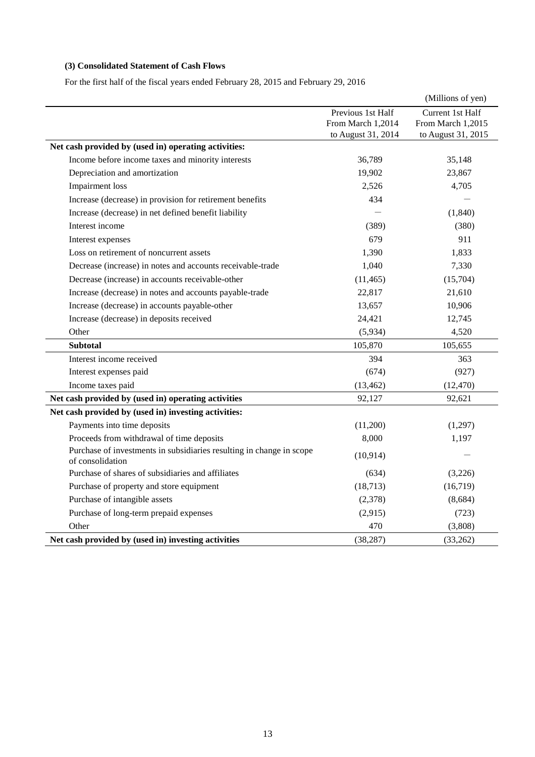# **(3) Consolidated Statement of Cash Flows**

For the first half of the fiscal years ended February 28, 2015 and February 29, 2016

|                                                                                          |                    | (Millions of yen)  |
|------------------------------------------------------------------------------------------|--------------------|--------------------|
|                                                                                          | Previous 1st Half  | Current 1st Half   |
|                                                                                          | From March 1,2014  | From March 1,2015  |
|                                                                                          | to August 31, 2014 | to August 31, 2015 |
| Net cash provided by (used in) operating activities:                                     |                    |                    |
| Income before income taxes and minority interests                                        | 36,789             | 35,148             |
| Depreciation and amortization                                                            | 19,902             | 23,867             |
| <b>Impairment</b> loss                                                                   | 2,526              | 4,705              |
| Increase (decrease) in provision for retirement benefits                                 | 434                |                    |
| Increase (decrease) in net defined benefit liability                                     |                    | (1, 840)           |
| Interest income                                                                          | (389)              | (380)              |
| Interest expenses                                                                        | 679                | 911                |
| Loss on retirement of noncurrent assets                                                  | 1,390              | 1,833              |
| Decrease (increase) in notes and accounts receivable-trade                               | 1,040              | 7,330              |
| Decrease (increase) in accounts receivable-other                                         | (11, 465)          | (15,704)           |
| Increase (decrease) in notes and accounts payable-trade                                  | 22,817             | 21,610             |
| Increase (decrease) in accounts payable-other                                            | 13,657             | 10,906             |
| Increase (decrease) in deposits received                                                 | 24,421             | 12,745             |
| Other                                                                                    | (5,934)            | 4,520              |
| <b>Subtotal</b>                                                                          | 105,870            | 105,655            |
| Interest income received                                                                 | 394                | 363                |
| Interest expenses paid                                                                   | (674)              | (927)              |
| Income taxes paid                                                                        | (13, 462)          | (12, 470)          |
| Net cash provided by (used in) operating activities                                      | 92,127             | 92,621             |
| Net cash provided by (used in) investing activities:                                     |                    |                    |
| Payments into time deposits                                                              | (11,200)           | (1,297)            |
| Proceeds from withdrawal of time deposits                                                | 8,000              | 1,197              |
| Purchase of investments in subsidiaries resulting in change in scope<br>of consolidation | (10, 914)          |                    |
| Purchase of shares of subsidiaries and affiliates                                        | (634)              | (3,226)            |
| Purchase of property and store equipment                                                 | (18, 713)          | (16, 719)          |
| Purchase of intangible assets                                                            | (2,378)            | (8,684)            |
| Purchase of long-term prepaid expenses                                                   | (2,915)            | (723)              |
| Other                                                                                    | 470                | (3,808)            |
| Net cash provided by (used in) investing activities                                      | (38, 287)          | (33,262)           |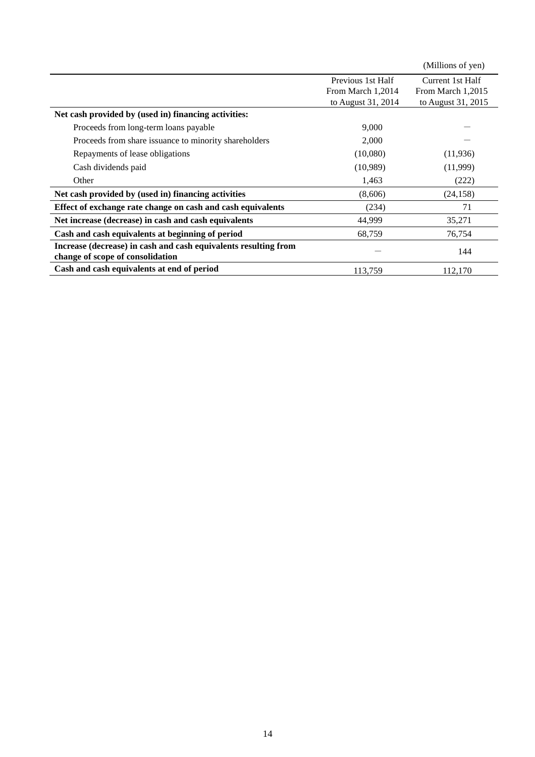|                                                                 |                    | (Millions of yen)  |
|-----------------------------------------------------------------|--------------------|--------------------|
|                                                                 | Previous 1st Half  | Current 1st Half   |
|                                                                 | From March 1,2014  | From March 1,2015  |
|                                                                 | to August 31, 2014 | to August 31, 2015 |
| Net cash provided by (used in) financing activities:            |                    |                    |
| Proceeds from long-term loans payable                           | 9,000              |                    |
| Proceeds from share issuance to minority shareholders           | 2,000              |                    |
| Repayments of lease obligations                                 | (10,080)           | (11,936)           |
| Cash dividends paid                                             | (10,989)           | (11,999)           |
| Other                                                           | 1,463              | (222)              |
| Net cash provided by (used in) financing activities             | (8,606)            | (24, 158)          |
| Effect of exchange rate change on cash and cash equivalents     | (234)              | 71                 |
| Net increase (decrease) in cash and cash equivalents            | 44,999             | 35,271             |
| Cash and cash equivalents at beginning of period                | 68,759             | 76,754             |
| Increase (decrease) in cash and cash equivalents resulting from |                    | 144                |
| change of scope of consolidation                                |                    |                    |
| Cash and cash equivalents at end of period                      | 113,759            | 112,170            |